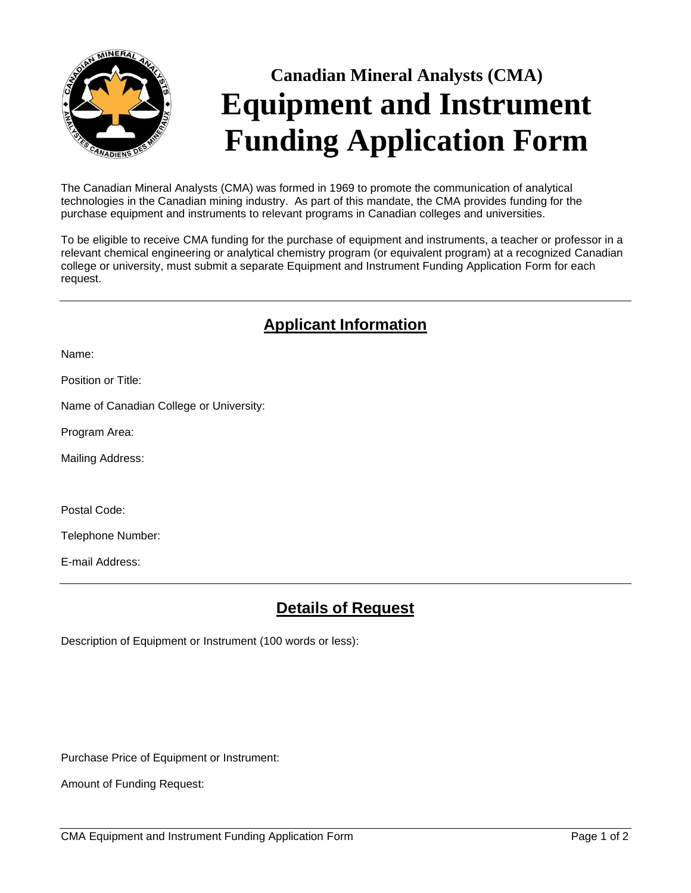

# **Canadian Mineral Analysts (CMA) Equipment and Instrument Funding Application Form**

The Canadian Mineral Analysts (CMA) was formed in 1969 to promote the communication of analytical technologies in the Canadian mining industry. As part of this mandate, the CMA provides funding for the purchase equipment and instruments to relevant programs in Canadian colleges and universities.

To be eligible to receive CMA funding for the purchase of equipment and instruments, a teacher or professor in a relevant chemical engineering or analytical chemistry program (or equivalent program) at a recognized Canadian college or university, must submit a separate Equipment and Instrument Funding Application Form for each request.

## **Applicant Information**

Name:

Position or Title:

Name of Canadian College or University:

Program Area:

Mailing Address:

Postal Code:

Telephone Number:

E-mail Address:

#### **Details of Request**

Description of Equipment or Instrument (100 words or less):

Purchase Price of Equipment or Instrument:

Amount of Funding Request: